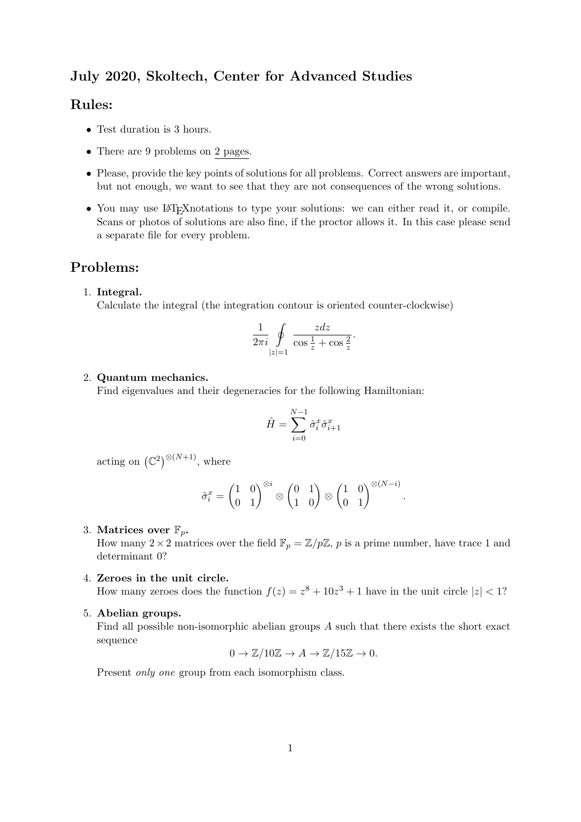# July 2020, Skoltech, Center for Advanced Studies

## Rules:

- Test duration is 3 hours.
- There are 9 problems on 2 pages.
- Please, provide the key points of solutions for all problems. Correct answers are important, but not enough, we want to see that they are not consequences of the wrong solutions.
- You may use LAT<sub>E</sub>X notations to type your solutions: we can either read it, or compile. Scans or photos of solutions are also fine, if the proctor allows it. In this case please send a separate file for every problem.

## Problems:

#### 1. Integral.

Calculate the integral (the integration contour is oriented counter-clockwise)

$$
\frac{1}{2\pi i}\oint\limits_{|z|=1}\frac{zdz}{\cos\frac{1}{z}+\cos\frac{2}{z}}.
$$

#### 2. Quantum mechanics.

Find eigenvalues and their degeneracies for the following Hamiltonian:

$$
\hat{H} = \sum_{i=0}^{N-1} \hat{\sigma}_i^x \hat{\sigma}_{i+1}^x
$$

acting on  $(\mathbb{C}^2)^{\otimes (N+1)}$ , where

$$
\hat{\sigma}_i^x = \begin{pmatrix} 1 & 0 \\ 0 & 1 \end{pmatrix}^{\otimes i} \otimes \begin{pmatrix} 0 & 1 \\ 1 & 0 \end{pmatrix} \otimes \begin{pmatrix} 1 & 0 \\ 0 & 1 \end{pmatrix}^{\otimes (N-i)}
$$

.

3. Matrices over  $\mathbb{F}_p$ .

How many  $2 \times 2$  matrices over the field  $\mathbb{F}_p = \mathbb{Z}/p\mathbb{Z}$ , p is a prime number, have trace 1 and determinant 0?

4. Zeroes in the unit circle.

How many zeroes does the function  $f(z) = z^8 + 10z^3 + 1$  have in the unit circle  $|z| < 1$ ?

5. Abelian groups.

Find all possible non-isomorphic abelian groups A such that there exists the short exact sequence

$$
0 \to \mathbb{Z}/10\mathbb{Z} \to A \to \mathbb{Z}/15\mathbb{Z} \to 0.
$$

Present *only one* group from each isomorphism class.